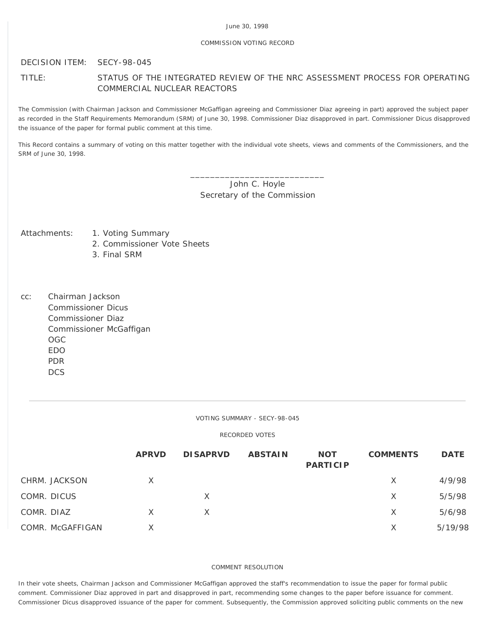### COMMISSION VOTING RECORD

# DECISION ITEM: SECY-98-045

# TITLE: STATUS OF THE INTEGRATED REVIEW OF THE NRC ASSESSMENT PROCESS FOR OPERATING COMMERCIAL NUCLEAR REACTORS

The Commission (with Chairman Jackson and Commissioner McGaffigan agreeing and Commissioner Diaz agreeing in part) approved the subject paper as recorded in the Staff Requirements Memorandum (SRM) of June 30, 1998. Commissioner Diaz disapproved in part. Commissioner Dicus disapproved the issuance of the paper for formal public comment at this time.

This Record contains a summary of voting on this matter together with the individual vote sheets, views and comments of the Commissioners, and the SRM of June 30, 1998.

> \_\_\_\_\_\_\_\_\_\_\_\_\_\_\_\_\_\_\_\_\_\_\_\_\_\_\_ John C. Hoyle Secretary of the Commission

- Attachments: 1. Voting Summary
	- 2. Commissioner Vote Sheets
	- 3. Final SRM
- cc: Chairman Jackson Commissioner Dicus Commissioner Diaz Commissioner McGaffigan OGC EDO PDR **DCS**

#### VOTING SUMMARY - SECY-98-045

## RECORDED VOTES

|            |                  | <b>APRVD</b> | <b>DISAPRVD</b> | <b>ABSTAIN</b> | <b>NOT</b><br><b>PARTICIP</b> | <b>COMMENTS</b> | <b>DATE</b> |
|------------|------------------|--------------|-----------------|----------------|-------------------------------|-----------------|-------------|
|            | CHRM. JACKSON    | X            |                 |                |                               | X               | 4/9/98      |
|            | COMR. DICUS      |              | X               |                |                               | X               | 5/5/98      |
| COMR. DIAZ |                  | X            | X.              |                |                               | X               | 5/6/98      |
|            | COMR. McGAFFIGAN | X.           |                 |                |                               | X               | 5/19/98     |

#### COMMENT RESOLUTION

In their vote sheets, Chairman Jackson and Commissioner McGaffigan approved the staff's recommendation to issue the paper for formal public comment. Commissioner Diaz approved in part and disapproved in part, recommending some changes to the paper before issuance for comment. Commissioner Dicus disapproved issuance of the paper for comment. Subsequently, the Commission approved soliciting public comments on the new